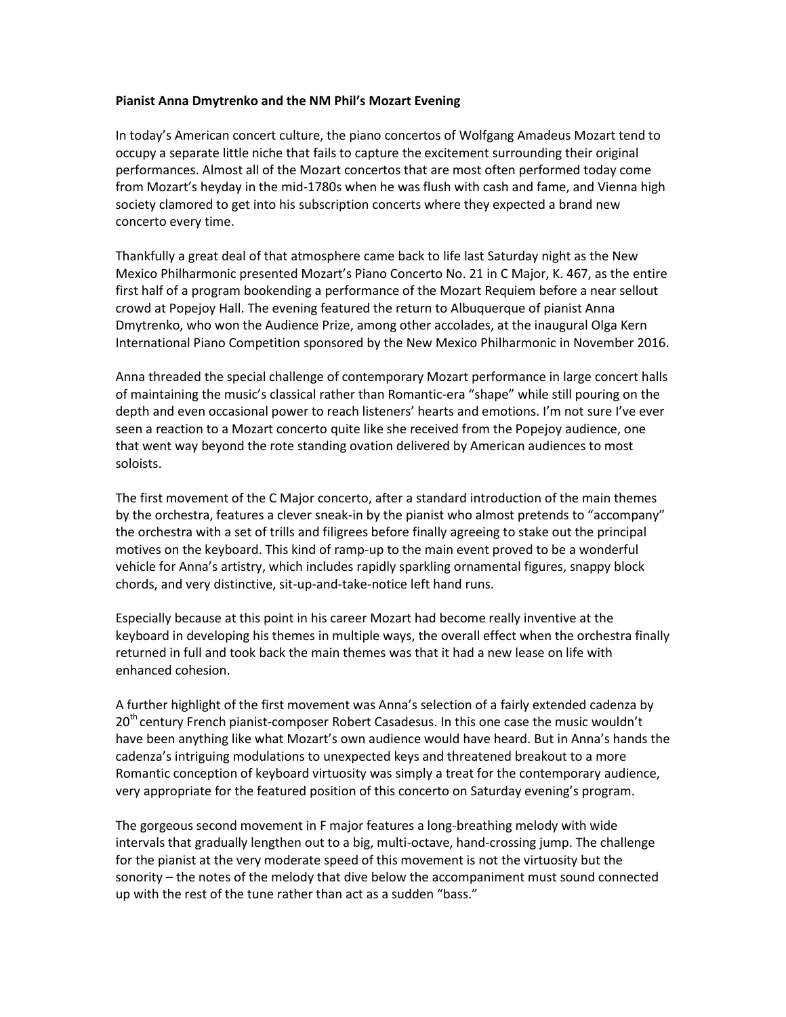## **Pianist Anna Dmytrenko and the NM Phil's Mozart Evening**

In today's American concert culture, the piano concertos of Wolfgang Amadeus Mozart tend to occupy a separate little niche that fails to capture the excitement surrounding their original performances. Almost all of the Mozart concertos that are most often performed today come from Mozart's heyday in the mid-1780s when he was flush with cash and fame, and Vienna high society clamored to get into his subscription concerts where they expected a brand new concerto every time.

Thankfully a great deal of that atmosphere came back to life last Saturday night as the New Mexico Philharmonic presented Mozart's Piano Concerto No. 21 in C Major, K. 467, as the entire first half of a program bookending a performance of the Mozart Requiem before a near sellout crowd at Popejoy Hall. The evening featured the return to Albuquerque of pianist Anna Dmytrenko, who won the Audience Prize, among other accolades, at the inaugural Olga Kern International Piano Competition sponsored by the New Mexico Philharmonic in November 2016.

Anna threaded the special challenge of contemporary Mozart performance in large concert halls of maintaining the music's classical rather than Romantic-era "shape" while still pouring on the depth and even occasional power to reach listeners' hearts and emotions. I'm not sure I've ever seen a reaction to a Mozart concerto quite like she received from the Popejoy audience, one that went way beyond the rote standing ovation delivered by American audiences to most soloists.

The first movement of the C Major concerto, after a standard introduction of the main themes by the orchestra, features a clever sneak-in by the pianist who almost pretends to "accompany" the orchestra with a set of trills and filigrees before finally agreeing to stake out the principal motives on the keyboard. This kind of ramp-up to the main event proved to be a wonderful vehicle for Anna's artistry, which includes rapidly sparkling ornamental figures, snappy block chords, and very distinctive, sit-up-and-take-notice left hand runs.

Especially because at this point in his career Mozart had become really inventive at the keyboard in developing his themes in multiple ways, the overall effect when the orchestra finally returned in full and took back the main themes was that it had a new lease on life with enhanced cohesion.

A further highlight of the first movement was Anna's selection of a fairly extended cadenza by  $20<sup>th</sup>$  century French pianist-composer Robert Casadesus. In this one case the music wouldn't have been anything like what Mozart's own audience would have heard. But in Anna's hands the cadenza's intriguing modulations to unexpected keys and threatened breakout to a more Romantic conception of keyboard virtuosity was simply a treat for the contemporary audience, very appropriate for the featured position of this concerto on Saturday evening's program.

The gorgeous second movement in F major features a long-breathing melody with wide intervals that gradually lengthen out to a big, multi-octave, hand-crossing jump. The challenge for the pianist at the very moderate speed of this movement is not the virtuosity but the sonority – the notes of the melody that dive below the accompaniment must sound connected up with the rest of the tune rather than act as a sudden "bass."